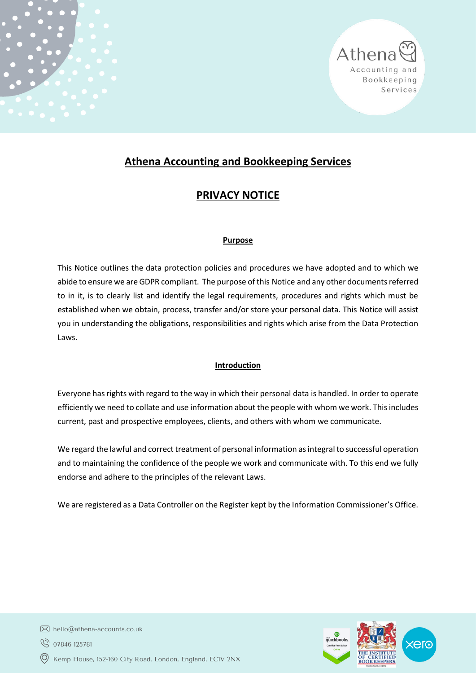

# **Athena Accounting and Bookkeeping Services**

# **PRIVACY NOTICE**

# **Purpose**

This Notice outlines the data protection policies and procedures we have adopted and to which we abide to ensure we are GDPR compliant. The purpose of this Notice and any other documents referred to in it, is to clearly list and identify the legal requirements, procedures and rights which must be established when we obtain, process, transfer and/or store your personal data. This Notice will assist you in understanding the obligations, responsibilities and rights which arise from the Data Protection Laws.

# **Introduction**

Everyone has rights with regard to the way in which their personal data is handled. In order to operate efficiently we need to collate and use information about the people with whom we work. This includes current, past and prospective employees, clients, and others with whom we communicate.

We regard the lawful and correct treatment of personal information as integral to successful operation and to maintaining the confidence of the people we work and communicate with. To this end we fully endorse and adhere to the principles of the relevant Laws.

We are registered as a Data Controller on the Register kept by the Information Commissioner's Office.



- $\boxtimes$  hello@athena-accounts.co.uk
- ◎ 07846 125781
- Kemp House, 152-160 City Road, London, England, EC1V 2NX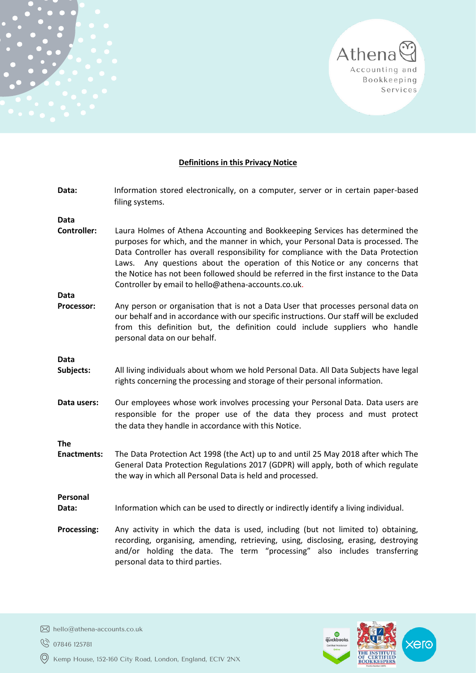

Athena

Accounting and Bookkeeping Services

xero

THE INSTITUTE<br>OF CERTIFIED<br>BOOKKEEPERS

| Data:                      | Information stored electronically, on a computer, server or in certain paper-based<br>filing systems.                                                                                                                                                                                                                                                                                                                                                                                   |
|----------------------------|-----------------------------------------------------------------------------------------------------------------------------------------------------------------------------------------------------------------------------------------------------------------------------------------------------------------------------------------------------------------------------------------------------------------------------------------------------------------------------------------|
| Data                       |                                                                                                                                                                                                                                                                                                                                                                                                                                                                                         |
| <b>Controller:</b><br>Data | Laura Holmes of Athena Accounting and Bookkeeping Services has determined the<br>purposes for which, and the manner in which, your Personal Data is processed. The<br>Data Controller has overall responsibility for compliance with the Data Protection<br>Laws. Any questions about the operation of this Notice or any concerns that<br>the Notice has not been followed should be referred in the first instance to the Data<br>Controller by email to hello@athena-accounts.co.uk. |
| Processor:                 | Any person or organisation that is not a Data User that processes personal data on<br>our behalf and in accordance with our specific instructions. Our staff will be excluded<br>from this definition but, the definition could include suppliers who handle<br>personal data on our behalf.                                                                                                                                                                                            |
| Data                       |                                                                                                                                                                                                                                                                                                                                                                                                                                                                                         |
| Subjects:                  | All living individuals about whom we hold Personal Data. All Data Subjects have legal<br>rights concerning the processing and storage of their personal information.                                                                                                                                                                                                                                                                                                                    |
| Data users:                | Our employees whose work involves processing your Personal Data. Data users are<br>responsible for the proper use of the data they process and must protect<br>the data they handle in accordance with this Notice.                                                                                                                                                                                                                                                                     |
| <b>The</b>                 |                                                                                                                                                                                                                                                                                                                                                                                                                                                                                         |
| <b>Enactments:</b>         | The Data Protection Act 1998 (the Act) up to and until 25 May 2018 after which The<br>General Data Protection Regulations 2017 (GDPR) will apply, both of which regulate<br>the way in which all Personal Data is held and processed.                                                                                                                                                                                                                                                   |
| Personal                   |                                                                                                                                                                                                                                                                                                                                                                                                                                                                                         |
| Data:                      | Information which can be used to directly or indirectly identify a living individual.                                                                                                                                                                                                                                                                                                                                                                                                   |
| <b>Processing:</b>         | Any activity in which the data is used, including (but not limited to) obtaining,<br>recording, organising, amending, retrieving, using, disclosing, erasing, destroying<br>and/or holding the data. The term "processing" also includes transferring<br>personal data to third parties.                                                                                                                                                                                                |
|                            |                                                                                                                                                                                                                                                                                                                                                                                                                                                                                         |

hello@athena-accounts.co.uk

**8** 07846 125781

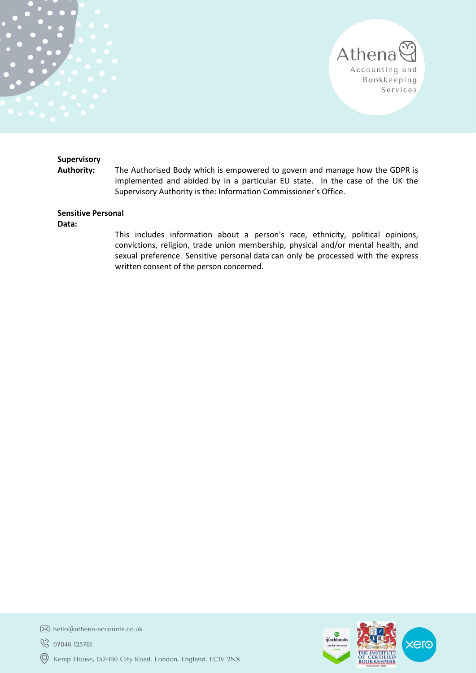

#### **Supervisory**

**Authority:** The Authorised Body which is empowered to govern and manage how the GDPR is implemented and abided by in a particular EU state. In the case of the UK the Supervisory Authority is the: Information Commissioner's Office.

# **Sensitive Personal**

**Data:**

This includes information about a person's race, ethnicity, political opinions, convictions, religion, trade union membership, physical and/or mental health, and sexual preference. Sensitive personal data can only be processed with the express written consent of the person concerned.



hello@athena-accounts.co.uk

**8** 07846 125781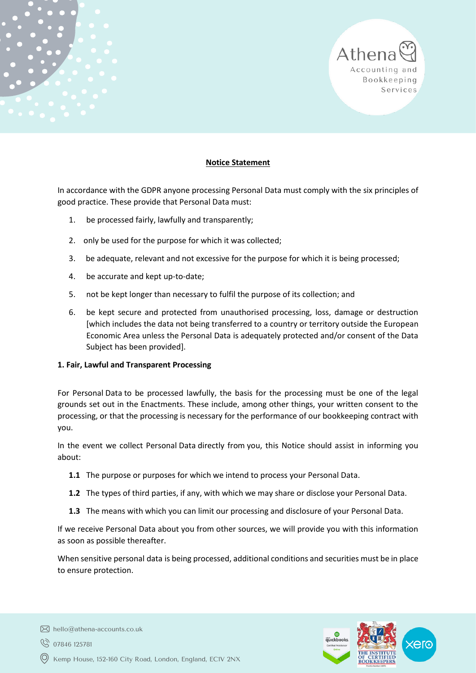# **Notice Statement**

In accordance with the GDPR anyone processing Personal Data must comply with the six principles of good practice. These provide that Personal Data must:

- 1. be processed fairly, lawfully and transparently;
- 2. only be used for the purpose for which it was collected;
- 3. be adequate, relevant and not excessive for the purpose for which it is being processed;
- 4. be accurate and kept up-to-date;
- 5. not be kept longer than necessary to fulfil the purpose of its collection; and
- 6. be kept secure and protected from unauthorised processing, loss, damage or destruction [which includes the data not being transferred to a country or territory outside the European Economic Area unless the Personal Data is adequately protected and/or consent of the Data Subject has been provided].

# **1. Fair, Lawful and Transparent Processing**

For Personal Data to be processed lawfully, the basis for the processing must be one of the legal grounds set out in the Enactments. These include, among other things, your written consent to the processing, or that the processing is necessary for the performance of our bookkeeping contract with you.

In the event we collect Personal Data directly from you, this Notice should assist in informing you about:

- **1.1** The purpose or purposes for which we intend to process your Personal Data.
- **1.2** The types of third parties, if any, with which we may share or disclose your Personal Data.
- **1.3** The means with which you can limit our processing and disclosure of your Personal Data.

If we receive Personal Data about you from other sources, we will provide you with this information as soon as possible thereafter.

When sensitive personal data is being processed, additional conditions and securities must be in place to ensure protection.



Athena

Accounting and Bookkeeping Services

- ◎ 07846 125781
- Kemp House, 152-160 City Road, London, England, EC1V 2NX

 $\boxtimes$  hello@athena-accounts.co.uk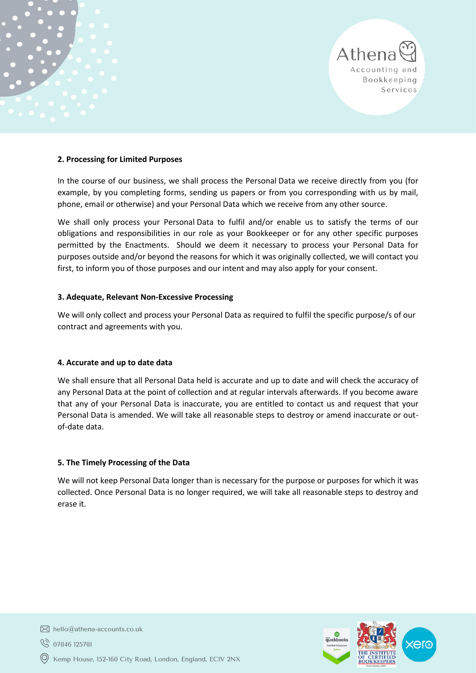#### **2. Processing for Limited Purposes**

In the course of our business, we shall process the Personal Data we receive directly from you (for example, by you completing forms, sending us papers or from you corresponding with us by mail, phone, email or otherwise) and your Personal Data which we receive from any other source.

We shall only process your Personal Data to fulfil and/or enable us to satisfy the terms of our obligations and responsibilities in our role as your Bookkeeper or for any other specific purposes permitted by the Enactments. Should we deem it necessary to process your Personal Data for purposes outside and/or beyond the reasons for which it was originally collected, we will contact you first, to inform you of those purposes and our intent and may also apply for your consent.

# **3. Adequate, Relevant Non-Excessive Processing**

We will only collect and process your Personal Data as required to fulfil the specific purpose/s of our contract and agreements with you.

#### **4. Accurate and up to date data**

We shall ensure that all Personal Data held is accurate and up to date and will check the accuracy of any Personal Data at the point of collection and at regular intervals afterwards. If you become aware that any of your Personal Data is inaccurate, you are entitled to contact us and request that your Personal Data is amended. We will take all reasonable steps to destroy or amend inaccurate or outof-date data.

# **5. The Timely Processing of the Data**

We will not keep Personal Data longer than is necessary for the purpose or purposes for which it was collected. Once Personal Data is no longer required, we will take all reasonable steps to destroy and erase it.



Athena

Accounting and Bookkeeping Services

 $\boxtimes$  hello@athena-accounts.co.uk

◯ 07846 125781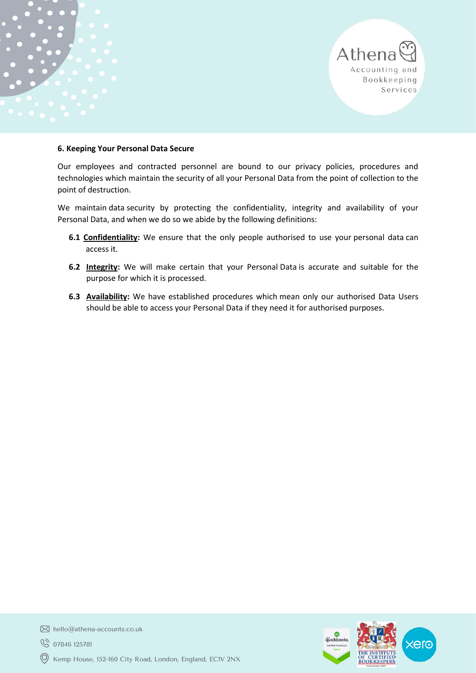

Our employees and contracted personnel are bound to our privacy policies, procedures and technologies which maintain the security of all your Personal Data from the point of collection to the point of destruction.

We maintain data security by protecting the confidentiality, integrity and availability of your Personal Data, and when we do so we abide by the following definitions:

- **6.1 Confidentiality:** We ensure that the only people authorised to use your personal data can access it.
- **6.2 Integrity:** We will make certain that your Personal Data is accurate and suitable for the purpose for which it is processed.
- **6.3 Availability:** We have established procedures which mean only our authorised Data Users should be able to access your Personal Data if they need it for authorised purposes.



Athena

Accounting and Bookkeeping Services

hello@athena-accounts.co.uk

**8** 07846 125781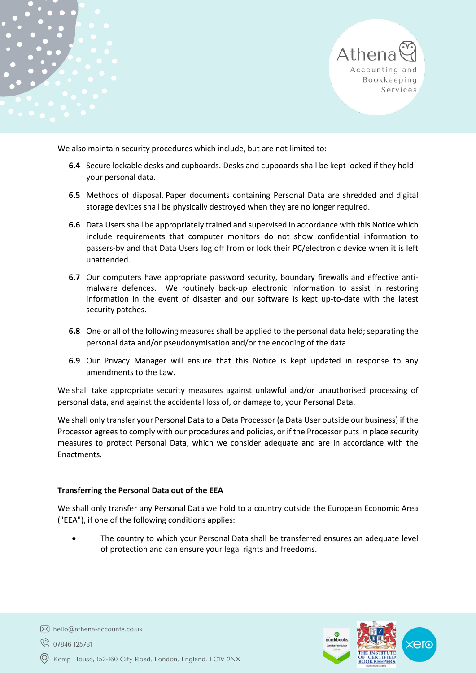Athena Accounting and Bookkeeping Services

We also maintain security procedures which include, but are not limited to:

- **6.4** Secure lockable desks and cupboards. Desks and cupboards shall be kept locked if they hold your personal data.
- **6.5** Methods of disposal. Paper documents containing Personal Data are shredded and digital storage devices shall be physically destroyed when they are no longer required.
- **6.6** Data Users shall be appropriately trained and supervised in accordance with this Notice which include requirements that computer monitors do not show confidential information to passers-by and that Data Users log off from or lock their PC/electronic device when it is left unattended.
- **6.7** Our computers have appropriate password security, boundary firewalls and effective antimalware defences. We routinely back-up electronic information to assist in restoring information in the event of disaster and our software is kept up-to-date with the latest security patches.
- **6.8** One or all of the following measures shall be applied to the personal data held; separating the personal data and/or pseudonymisation and/or the encoding of the data
- **6.9** Our Privacy Manager will ensure that this Notice is kept updated in response to any amendments to the Law.

We shall take appropriate security measures against unlawful and/or unauthorised processing of personal data, and against the accidental loss of, or damage to, your Personal Data.

We shall only transfer your Personal Data to a Data Processor (a Data User outside our business) if the Processor agrees to comply with our procedures and policies, or if the Processor puts in place security measures to protect Personal Data, which we consider adequate and are in accordance with the Enactments.

#### **Transferring the Personal Data out of the EEA**

We shall only transfer any Personal Data we hold to a country outside the European Economic Area ("EEA"), if one of the following conditions applies:

• The country to which your Personal Data shall be transferred ensures an adequate level of protection and can ensure your legal rights and freedoms.



 $\boxtimes$  hello@athena-accounts.co.uk

◎ 07846 125781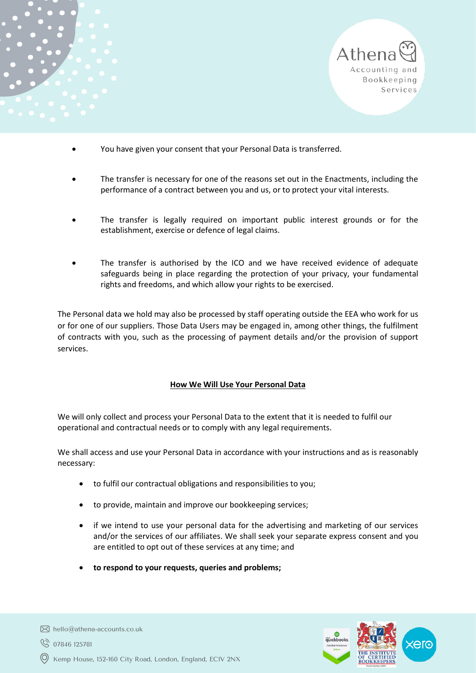



- You have given your consent that your Personal Data is transferred.
- The transfer is necessary for one of the reasons set out in the Enactments, including the performance of a contract between you and us, or to protect your vital interests.
- The transfer is legally required on important public interest grounds or for the establishment, exercise or defence of legal claims.
- The transfer is authorised by the ICO and we have received evidence of adequate safeguards being in place regarding the protection of your privacy, your fundamental rights and freedoms, and which allow your rights to be exercised.

The Personal data we hold may also be processed by staff operating outside the EEA who work for us or for one of our suppliers. Those Data Users may be engaged in, among other things, the fulfilment of contracts with you, such as the processing of payment details and/or the provision of support services.

# **How We Will Use Your Personal Data**

We will only collect and process your Personal Data to the extent that it is needed to fulfil our operational and contractual needs or to comply with any legal requirements.

We shall access and use your Personal Data in accordance with your instructions and as is reasonably necessary:

- to fulfil our contractual obligations and responsibilities to you;
- to provide, maintain and improve our bookkeeping services;
- if we intend to use your personal data for the advertising and marketing of our services and/or the services of our affiliates. We shall seek your separate express consent and you are entitled to opt out of these services at any time; and
- **to respond to your requests, queries and problems;**



Kemp House, 152-160 City Road, London, England, EC1V 2NX

 $\boxtimes$  hello@athena-accounts.co.uk

◯ 07846 125781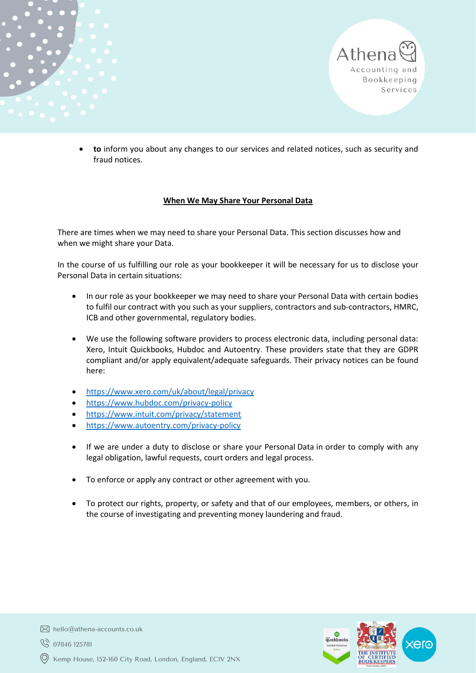

Athena

Accounting and Bookkeeping Services

#### **When We May Share Your Personal Data**

There are times when we may need to share your Personal Data. This section discusses how and when we might share your Data.

In the course of us fulfilling our role as your bookkeeper it will be necessary for us to disclose your Personal Data in certain situations:

- In our role as your bookkeeper we may need to share your Personal Data with certain bodies to fulfil our contract with you such as your suppliers, contractors and sub-contractors, HMRC, ICB and other governmental, regulatory bodies.
- We use the following software providers to process electronic data, including personal data: Xero, Intuit Quickbooks, Hubdoc and Autoentry. These providers state that they are GDPR compliant and/or apply equivalent/adequate safeguards. Their privacy notices can be found here:
- <https://www.xero.com/uk/about/legal/privacy>
- <https://www.hubdoc.com/privacy-policy>
- <https://www.intuit.com/privacy/statement>
- <https://www.autoentry.com/privacy-policy>
- If we are under a duty to disclose or share your Personal Data in order to comply with any legal obligation, lawful requests, court orders and legal process.
- To enforce or apply any contract or other agreement with you.
- To protect our rights, property, or safety and that of our employees, members, or others, in the course of investigating and preventing money laundering and fraud.



- $\boxtimes$  hello@athena-accounts.co.uk
- ◎ 07846 125781
- Kemp House, 152-160 City Road, London, England, EC1V 2NX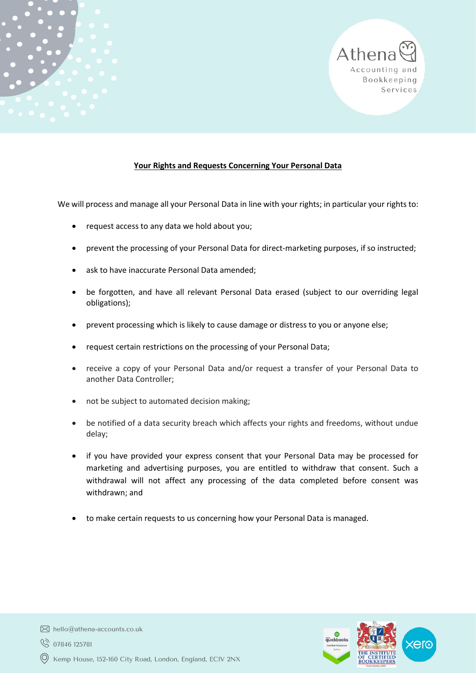

## **Your Rights and Requests Concerning Your Personal Data**

We will process and manage all your Personal Data in line with your rights; in particular your rights to:

- request access to any data we hold about you;
- prevent the processing of your Personal Data for direct-marketing purposes, if so instructed;
- ask to have inaccurate Personal Data amended;
- be forgotten, and have all relevant Personal Data erased (subject to our overriding legal obligations);
- prevent processing which is likely to cause damage or distress to you or anyone else;
- request certain restrictions on the processing of your Personal Data;
- receive a copy of your Personal Data and/or request a transfer of your Personal Data to another Data Controller;
- not be subject to automated decision making;
- be notified of a data security breach which affects your rights and freedoms, without undue delay;
- if you have provided your express consent that your Personal Data may be processed for marketing and advertising purposes, you are entitled to withdraw that consent. Such a withdrawal will not affect any processing of the data completed before consent was withdrawn; and
- to make certain requests to us concerning how your Personal Data is managed.



 $\boxtimes$  hello@athena-accounts.co.uk

◎ 07846 125781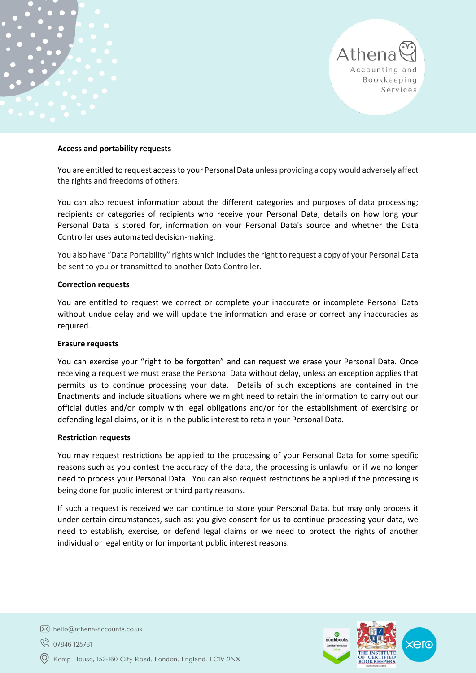#### **Access and portability requests**

You are entitled to request access to your Personal Data unless providing a copy would adversely affect the rights and freedoms of others.

You can also request information about the different categories and purposes of data processing; recipients or categories of recipients who receive your Personal Data, details on how long your Personal Data is stored for, information on your Personal Data's source and whether the Data Controller uses automated decision-making.

You also have "Data Portability" rights which includes the right to request a copy of your Personal Data be sent to you or transmitted to another Data Controller.

#### **Correction requests**

You are entitled to request we correct or complete your inaccurate or incomplete Personal Data without undue delay and we will update the information and erase or correct any inaccuracies as required.

#### **Erasure requests**

You can exercise your "right to be forgotten" and can request we erase your Personal Data. Once receiving a request we must erase the Personal Data without delay, unless an exception applies that permits us to continue processing your data. Details of such exceptions are contained in the Enactments and include situations where we might need to retain the information to carry out our official duties and/or comply with legal obligations and/or for the establishment of exercising or defending legal claims, or it is in the public interest to retain your Personal Data.

#### **Restriction requests**

You may request restrictions be applied to the processing of your Personal Data for some specific reasons such as you contest the accuracy of the data, the processing is unlawful or if we no longer need to process your Personal Data. You can also request restrictions be applied if the processing is being done for public interest or third party reasons.

If such a request is received we can continue to store your Personal Data, but may only process it under certain circumstances, such as: you give consent for us to continue processing your data, we need to establish, exercise, or defend legal claims or we need to protect the rights of another individual or legal entity or for important public interest reasons.



Athena

Accounting and Bookkeeping Services

 $\boxtimes$  hello@athena-accounts.co.uk

◯ 07846 125781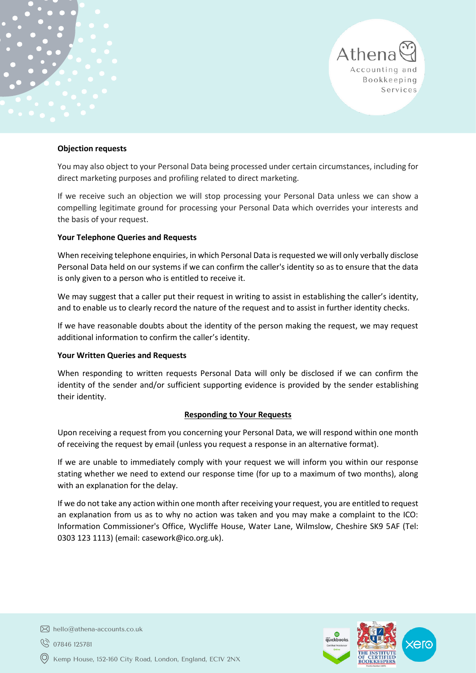#### **Objection requests**

You may also object to your Personal Data being processed under certain circumstances, including for direct marketing purposes and profiling related to direct marketing.

If we receive such an objection we will stop processing your Personal Data unless we can show a compelling legitimate ground for processing your Personal Data which overrides your interests and the basis of your request.

#### **Your Telephone Queries and Requests**

When receiving telephone enquiries, in which Personal Data is requested we will only verbally disclose Personal Data held on our systems if we can confirm the caller's identity so as to ensure that the data is only given to a person who is entitled to receive it.

We may suggest that a caller put their request in writing to assist in establishing the caller's identity, and to enable us to clearly record the nature of the request and to assist in further identity checks.

If we have reasonable doubts about the identity of the person making the request, we may request additional information to confirm the caller's identity.

#### **Your Written Queries and Requests**

When responding to written requests Personal Data will only be disclosed if we can confirm the identity of the sender and/or sufficient supporting evidence is provided by the sender establishing their identity.

#### **Responding to Your Requests**

Upon receiving a request from you concerning your Personal Data, we will respond within one month of receiving the request by email (unless you request a response in an alternative format).

If we are unable to immediately comply with your request we will inform you within our response stating whether we need to extend our response time (for up to a maximum of two months), along with an explanation for the delay.

If we do not take any action within one month after receiving your request, you are entitled to request an explanation from us as to why no action was taken and you may make a complaint to the ICO: Information Commissioner's Office, Wycliffe House, Water Lane, Wilmslow, Cheshire SK9 5AF (Tel: 0303 123 1113) (email[: casework@ico.org.uk\)](mailto:casework@ico.org.uk).



Athena

Accounting and Bookkeeping Services

 $\boxtimes$  hello@athena-accounts.co.uk

◯ 07846 125781